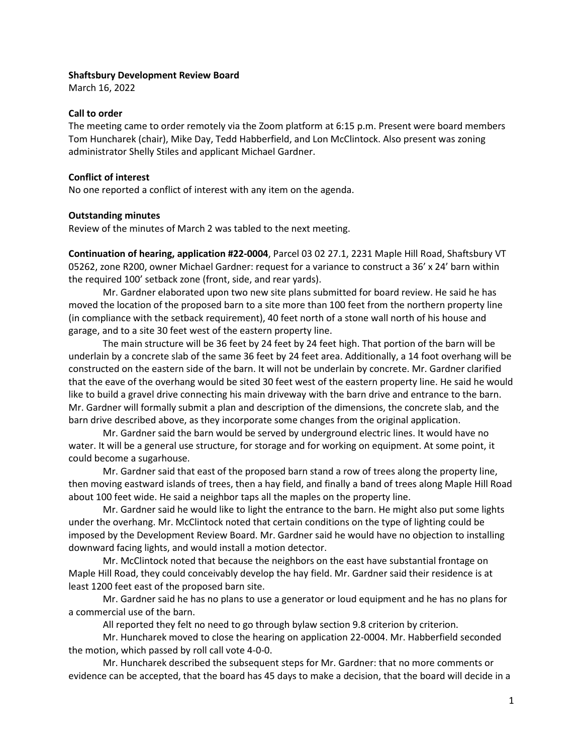## **Shaftsbury Development Review Board**

March 16, 2022

### **Call to order**

The meeting came to order remotely via the Zoom platform at 6:15 p.m. Present were board members Tom Huncharek (chair), Mike Day, Tedd Habberfield, and Lon McClintock. Also present was zoning administrator Shelly Stiles and applicant Michael Gardner.

## **Conflict of interest**

No one reported a conflict of interest with any item on the agenda.

#### **Outstanding minutes**

Review of the minutes of March 2 was tabled to the next meeting.

**Continuation of hearing, application #22-0004**, Parcel 03 02 27.1, 2231 Maple Hill Road, Shaftsbury VT 05262, zone R200, owner Michael Gardner: request for a variance to construct a 36' x 24' barn within the required 100' setback zone (front, side, and rear yards).

Mr. Gardner elaborated upon two new site plans submitted for board review. He said he has moved the location of the proposed barn to a site more than 100 feet from the northern property line (in compliance with the setback requirement), 40 feet north of a stone wall north of his house and garage, and to a site 30 feet west of the eastern property line.

The main structure will be 36 feet by 24 feet by 24 feet high. That portion of the barn will be underlain by a concrete slab of the same 36 feet by 24 feet area. Additionally, a 14 foot overhang will be constructed on the eastern side of the barn. It will not be underlain by concrete. Mr. Gardner clarified that the eave of the overhang would be sited 30 feet west of the eastern property line. He said he would like to build a gravel drive connecting his main driveway with the barn drive and entrance to the barn. Mr. Gardner will formally submit a plan and description of the dimensions, the concrete slab, and the barn drive described above, as they incorporate some changes from the original application.

Mr. Gardner said the barn would be served by underground electric lines. It would have no water. It will be a general use structure, for storage and for working on equipment. At some point, it could become a sugarhouse.

Mr. Gardner said that east of the proposed barn stand a row of trees along the property line, then moving eastward islands of trees, then a hay field, and finally a band of trees along Maple Hill Road about 100 feet wide. He said a neighbor taps all the maples on the property line.

Mr. Gardner said he would like to light the entrance to the barn. He might also put some lights under the overhang. Mr. McClintock noted that certain conditions on the type of lighting could be imposed by the Development Review Board. Mr. Gardner said he would have no objection to installing downward facing lights, and would install a motion detector.

Mr. McClintock noted that because the neighbors on the east have substantial frontage on Maple Hill Road, they could conceivably develop the hay field. Mr. Gardner said their residence is at least 1200 feet east of the proposed barn site.

Mr. Gardner said he has no plans to use a generator or loud equipment and he has no plans for a commercial use of the barn.

All reported they felt no need to go through bylaw section 9.8 criterion by criterion.

Mr. Huncharek moved to close the hearing on application 22-0004. Mr. Habberfield seconded the motion, which passed by roll call vote 4-0-0.

Mr. Huncharek described the subsequent steps for Mr. Gardner: that no more comments or evidence can be accepted, that the board has 45 days to make a decision, that the board will decide in a